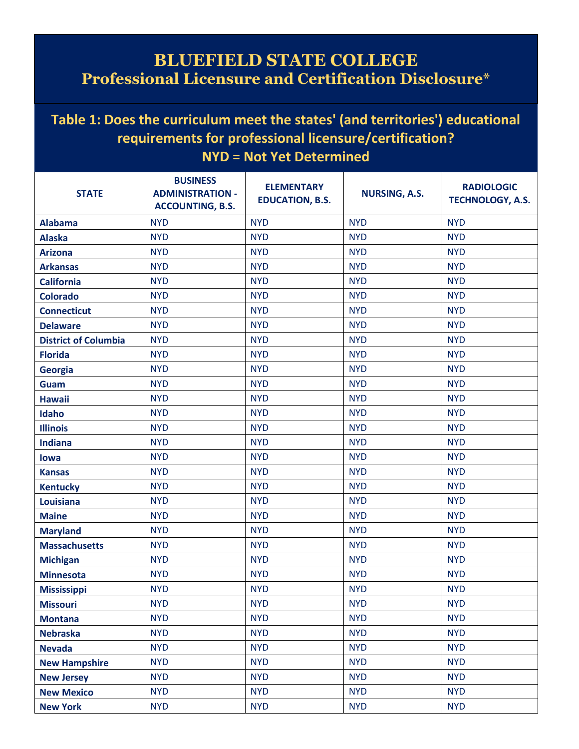## **BLUEFIELD STATE COLLEGE Professional Licensure and Certification Disclosure\***

## **Table 1: Does the curriculum meet the states' (and territories') educational requirements for professional licensure/certification? NYD = Not Yet Determined**

| <b>STATE</b>                | <b>BUSINESS</b><br><b>ADMINISTRATION -</b><br><b>ACCOUNTING, B.S.</b> | <b>ELEMENTARY</b><br><b>EDUCATION, B.S.</b> | <b>NURSING, A.S.</b> | <b>RADIOLOGIC</b><br><b>TECHNOLOGY, A.S.</b> |
|-----------------------------|-----------------------------------------------------------------------|---------------------------------------------|----------------------|----------------------------------------------|
| <b>Alabama</b>              | <b>NYD</b>                                                            | <b>NYD</b>                                  | <b>NYD</b>           | <b>NYD</b>                                   |
| <b>Alaska</b>               | <b>NYD</b>                                                            | <b>NYD</b>                                  | <b>NYD</b>           | <b>NYD</b>                                   |
| <b>Arizona</b>              | <b>NYD</b>                                                            | <b>NYD</b>                                  | <b>NYD</b>           | <b>NYD</b>                                   |
| <b>Arkansas</b>             | <b>NYD</b>                                                            | <b>NYD</b>                                  | <b>NYD</b>           | <b>NYD</b>                                   |
| <b>California</b>           | <b>NYD</b>                                                            | <b>NYD</b>                                  | <b>NYD</b>           | <b>NYD</b>                                   |
| <b>Colorado</b>             | <b>NYD</b>                                                            | <b>NYD</b>                                  | <b>NYD</b>           | <b>NYD</b>                                   |
| <b>Connecticut</b>          | <b>NYD</b>                                                            | <b>NYD</b>                                  | <b>NYD</b>           | <b>NYD</b>                                   |
| <b>Delaware</b>             | <b>NYD</b>                                                            | <b>NYD</b>                                  | <b>NYD</b>           | <b>NYD</b>                                   |
| <b>District of Columbia</b> | <b>NYD</b>                                                            | <b>NYD</b>                                  | <b>NYD</b>           | <b>NYD</b>                                   |
| <b>Florida</b>              | <b>NYD</b>                                                            | <b>NYD</b>                                  | <b>NYD</b>           | <b>NYD</b>                                   |
| <b>Georgia</b>              | <b>NYD</b>                                                            | <b>NYD</b>                                  | <b>NYD</b>           | <b>NYD</b>                                   |
| Guam                        | <b>NYD</b>                                                            | <b>NYD</b>                                  | <b>NYD</b>           | <b>NYD</b>                                   |
| <b>Hawaii</b>               | <b>NYD</b>                                                            | <b>NYD</b>                                  | <b>NYD</b>           | <b>NYD</b>                                   |
| Idaho                       | <b>NYD</b>                                                            | <b>NYD</b>                                  | <b>NYD</b>           | <b>NYD</b>                                   |
| <b>Illinois</b>             | <b>NYD</b>                                                            | <b>NYD</b>                                  | <b>NYD</b>           | <b>NYD</b>                                   |
| <b>Indiana</b>              | <b>NYD</b>                                                            | <b>NYD</b>                                  | <b>NYD</b>           | <b>NYD</b>                                   |
| lowa                        | <b>NYD</b>                                                            | <b>NYD</b>                                  | <b>NYD</b>           | <b>NYD</b>                                   |
| <b>Kansas</b>               | <b>NYD</b>                                                            | <b>NYD</b>                                  | <b>NYD</b>           | <b>NYD</b>                                   |
| <b>Kentucky</b>             | <b>NYD</b>                                                            | <b>NYD</b>                                  | <b>NYD</b>           | <b>NYD</b>                                   |
| Louisiana                   | <b>NYD</b>                                                            | <b>NYD</b>                                  | <b>NYD</b>           | <b>NYD</b>                                   |
| <b>Maine</b>                | <b>NYD</b>                                                            | <b>NYD</b>                                  | <b>NYD</b>           | <b>NYD</b>                                   |
| <b>Maryland</b>             | <b>NYD</b>                                                            | <b>NYD</b>                                  | <b>NYD</b>           | <b>NYD</b>                                   |
| <b>Massachusetts</b>        | <b>NYD</b>                                                            | <b>NYD</b>                                  | <b>NYD</b>           | <b>NYD</b>                                   |
| <b>Michigan</b>             | <b>NYD</b>                                                            | <b>NYD</b>                                  | <b>NYD</b>           | <b>NYD</b>                                   |
| <b>Minnesota</b>            | <b>NYD</b>                                                            | <b>NYD</b>                                  | <b>NYD</b>           | <b>NYD</b>                                   |
| <b>Mississippi</b>          | <b>NYD</b>                                                            | <b>NYD</b>                                  | <b>NYD</b>           | <b>NYD</b>                                   |
| <b>Missouri</b>             | <b>NYD</b>                                                            | <b>NYD</b>                                  | <b>NYD</b>           | <b>NYD</b>                                   |
| <b>Montana</b>              | <b>NYD</b>                                                            | <b>NYD</b>                                  | <b>NYD</b>           | <b>NYD</b>                                   |
| <b>Nebraska</b>             | <b>NYD</b>                                                            | <b>NYD</b>                                  | <b>NYD</b>           | <b>NYD</b>                                   |
| <b>Nevada</b>               | <b>NYD</b>                                                            | <b>NYD</b>                                  | <b>NYD</b>           | <b>NYD</b>                                   |
| <b>New Hampshire</b>        | <b>NYD</b>                                                            | <b>NYD</b>                                  | <b>NYD</b>           | <b>NYD</b>                                   |
| <b>New Jersey</b>           | <b>NYD</b>                                                            | <b>NYD</b>                                  | <b>NYD</b>           | <b>NYD</b>                                   |
| <b>New Mexico</b>           | <b>NYD</b>                                                            | <b>NYD</b>                                  | <b>NYD</b>           | <b>NYD</b>                                   |
| <b>New York</b>             | <b>NYD</b>                                                            | <b>NYD</b>                                  | <b>NYD</b>           | <b>NYD</b>                                   |